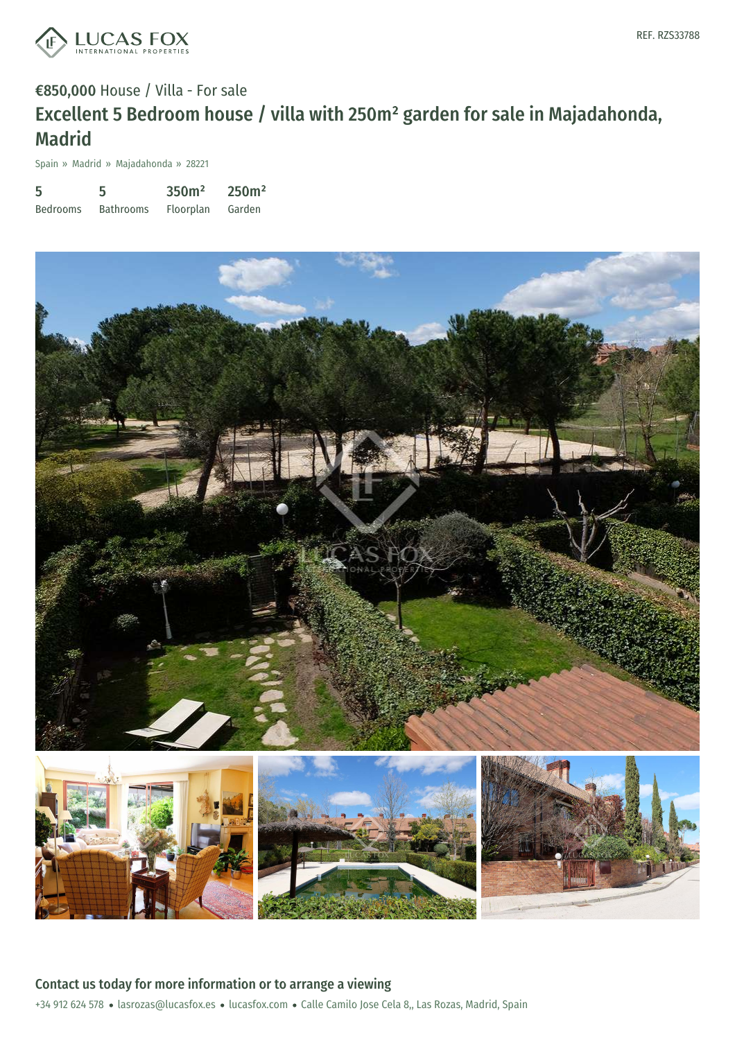

## €850,000 House / Villa - For sale Excellent 5 Bedroom house / villa with 250m² garden for sale in Majadahonda, Madrid

Spain » Madrid » Majadahonda » 28221

| 5               | 5                | 350 <sup>m²</sup> | 250m <sup>2</sup> |
|-----------------|------------------|-------------------|-------------------|
| <b>Bedrooms</b> | <b>Bathrooms</b> | Floorplan         | Garden            |



+34 912 624 578 · lasrozas@lucasfox.es · lucasfox.com · Calle Camilo Jose Cela 8,, Las Rozas, Madrid, Spain Contact us today for more information or to arrange a viewing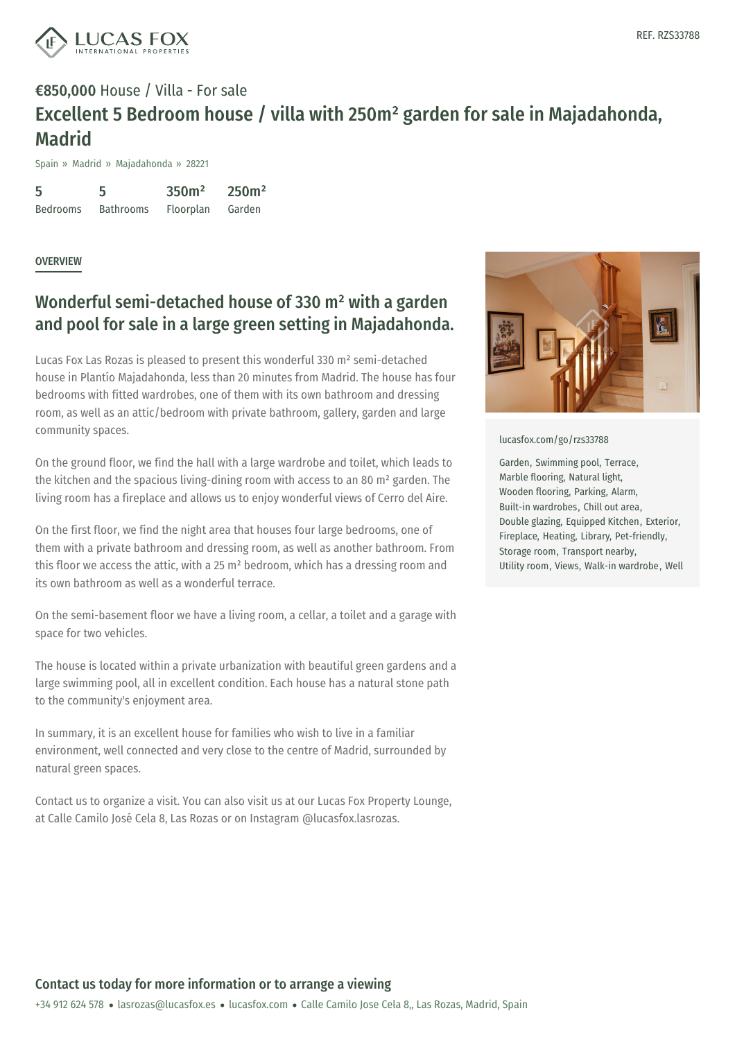

## €850,000 House / Villa - For sale Excellent 5 Bedroom house / villa with 250m² garden for sale in Majadahonda, Madrid

Spain » Madrid » Majadahonda » 28221

5 Bedrooms 5 Bathrooms 350m² Floorplan 250m² Garden

**OVERVIEW** 

## Wonderful semi-detached house of 330 m² with a garden and pool for sale in a large green setting in Majadahonda.

Lucas Fox Las Rozas is pleased to present this wonderful 330 m² semi-detached house in Plantío Majadahonda, less than 20 minutes from Madrid. The house has four bedrooms with fitted wardrobes, one of them with its own bathroom and dressing room, as well as an attic/bedroom with private bathroom, gallery, garden and large community spaces.

On the ground floor, we find the hall with a large wardrobe and toilet, which leads to the kitchen and the spacious living-dining room with access to an 80 m² garden. The living room has a fireplace and allows us to enjoy wonderful views of Cerro del Aire.

On the first floor, we find the night area that houses four large bedrooms, one of them with a private bathroom and dressing room, as well as another bathroom. From this floor we access the attic, with a 25  $m<sup>2</sup>$  bedroom, which has a dressing room and its own bathroom as well as a wonderful terrace.

On the semi-basement floor we have a living room, a cellar, a toilet and a garage with space for two vehicles.

The house is located within a private urbanization with beautiful green gardens and a large swimming pool, all in excellent condition. Each house has a natural stone path to the community's enjoyment area.

In summary, it is an excellent house for families who wish to live in a familiar environment, well [connected](mailto:lasrozas@lucasfox.es) and very [close](https://www.lucasfox.com) to the centre of Madrid, surrounded by natural green spaces.

Contact us to organize a visit. You can also visit us at our Lucas Fox Property Lounge, at Calle Camilo José Cela 8, Las Rozas or on Instagram @lucasfox.lasrozas.



[lucasfox.com/go/rzs33788](https://www.lucasfox.com/go/rzs33788)

Garden, Swimming pool, Terrace, Marble flooring, Natural light, Wooden flooring, Parking, Alarm, Built-in wardrobes, Chill out area, Double glazing, Equipped Kitchen, Exterior, Fireplace, Heating, Library, Pet-friendly, Storage room, Transport nearby, Utility room, Views, Walk-in wardrobe, Well